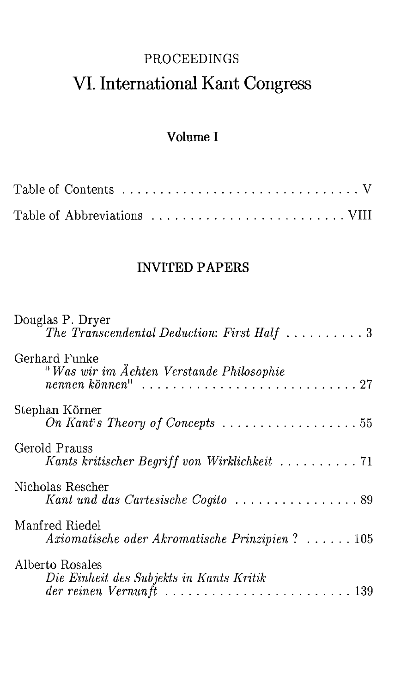# **PROCEEDINGS** VI. International Kant Congress

## Volume I

## **INVITED PAPERS**

| Douglas P. Dryer<br>The Transcendental Deduction: First Half $\ldots \ldots \ldots 3$                                                            |
|--------------------------------------------------------------------------------------------------------------------------------------------------|
| Gerhard Funke<br>"Was wir im Ächten Verstande Philosophie                                                                                        |
| Stephan Körner<br>On Kant's Theory of Concepts $\ldots \ldots \ldots \ldots \ldots \ldots 55$                                                    |
| Gerold Prauss<br>Kants kritischer Begriff von Wirklichkeit  71                                                                                   |
| Nicholas Rescher<br>Kant und das Cartesische Cogito  89                                                                                          |
| Manfred Riedel<br>Axiomatische oder Akromatische Prinzipien? $\ldots \ldots 105$                                                                 |
| Alberto Rosales<br>Die Einheit des Subjekts in Kants Kritik<br>der reinen Vernunft $\ldots \ldots \ldots \ldots \ldots \ldots \ldots \ldots 139$ |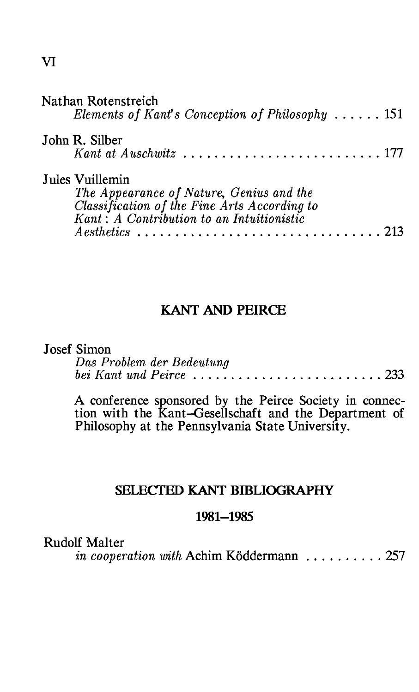| Nathan Rotenstreich<br>Elements of Kant's Conception of Philosophy $\ldots$ 151                                                                                           |  |
|---------------------------------------------------------------------------------------------------------------------------------------------------------------------------|--|
| John R. Silber<br>Kant at Auschwitz $\ldots, \ldots, \ldots, \ldots, \ldots, \ldots, 177$                                                                                 |  |
| Jules Vuillemin<br>The Appearance of Nature, Genius and the<br>Classification of the Fine Arts According to<br>Kant: A Contribution to an Intuitionistic<br>$A$ esthetics |  |

## **KANT AND PEIRCE**

### **Josef Simon**

| Das Problem der Bedeutung                                                         |  |  |  |  |  |  |  |  |  |  |  |
|-----------------------------------------------------------------------------------|--|--|--|--|--|--|--|--|--|--|--|
| bei Kant und Peirce $\ldots \ldots \ldots \ldots \ldots \ldots \ldots \ldots 233$ |  |  |  |  |  |  |  |  |  |  |  |

A conference sponsored by the Peirce Society in connection with the Kant-Gesellschaft and the Department of Philosophy at the Pennsylvania State University.

## SELECTED KANT BIBLIOGRAPHY

#### 1981-1985

**Rudolf Malter** 

in cooperation with Achim Köddermann ......... 257

 $\overline{\mathbf{V}}$